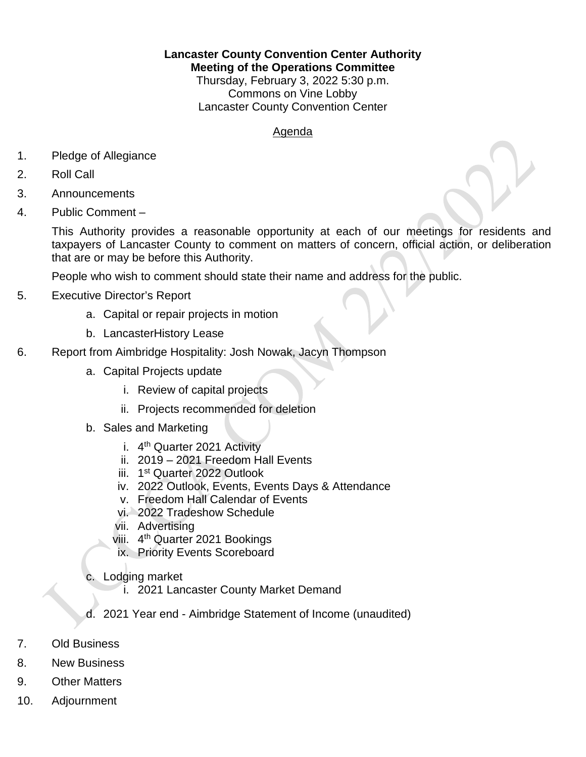**Lancaster County Convention Center Authority**

**Meeting of the Operations Committee**

Thursday, February 3, 2022 5:30 p.m. Commons on Vine Lobby Lancaster County Convention Center

## Agenda

- 1. Pledge of Allegiance
- 2. Roll Call
- 3. Announcements
- 4. Public Comment –

This Authority provides a reasonable opportunity at each of our meetings for residents and taxpayers of Lancaster County to comment on matters of concern, official action, or deliberation that are or may be before this Authority.

People who wish to comment should state their name and address for the public.

- 5. Executive Director's Report
	- a. Capital or repair projects in motion
	- b. LancasterHistory Lease
- 6. Report from Aimbridge Hospitality: Josh Nowak, Jacyn Thompson
	- a. Capital Projects update
		- i. Review of capital projects
		- ii. Projects recommended for deletion
	- b. Sales and Marketing
		- i.  $4<sup>th</sup>$  Quarter 2021 Activity
		- ii. 2019 2021 Freedom Hall Events
		- iii. 1<sup>st</sup> Quarter 2022 Outlook
		- iv. 2022 Outlook, Events, Events Days & Attendance
		- v. Freedom Hall Calendar of Events
		- vi. 2022 Tradeshow Schedule
		- vii. Advertising
		- viii. 4<sup>th</sup> Quarter 2021 Bookings
		- ix. Priority Events Scoreboard
	- c. Lodging market
		- i. 2021 Lancaster County Market Demand
	- d. 2021 Year end Aimbridge Statement of Income (unaudited)
- 7. Old Business
- 8. New Business
- 9. Other Matters
- 10. Adjournment